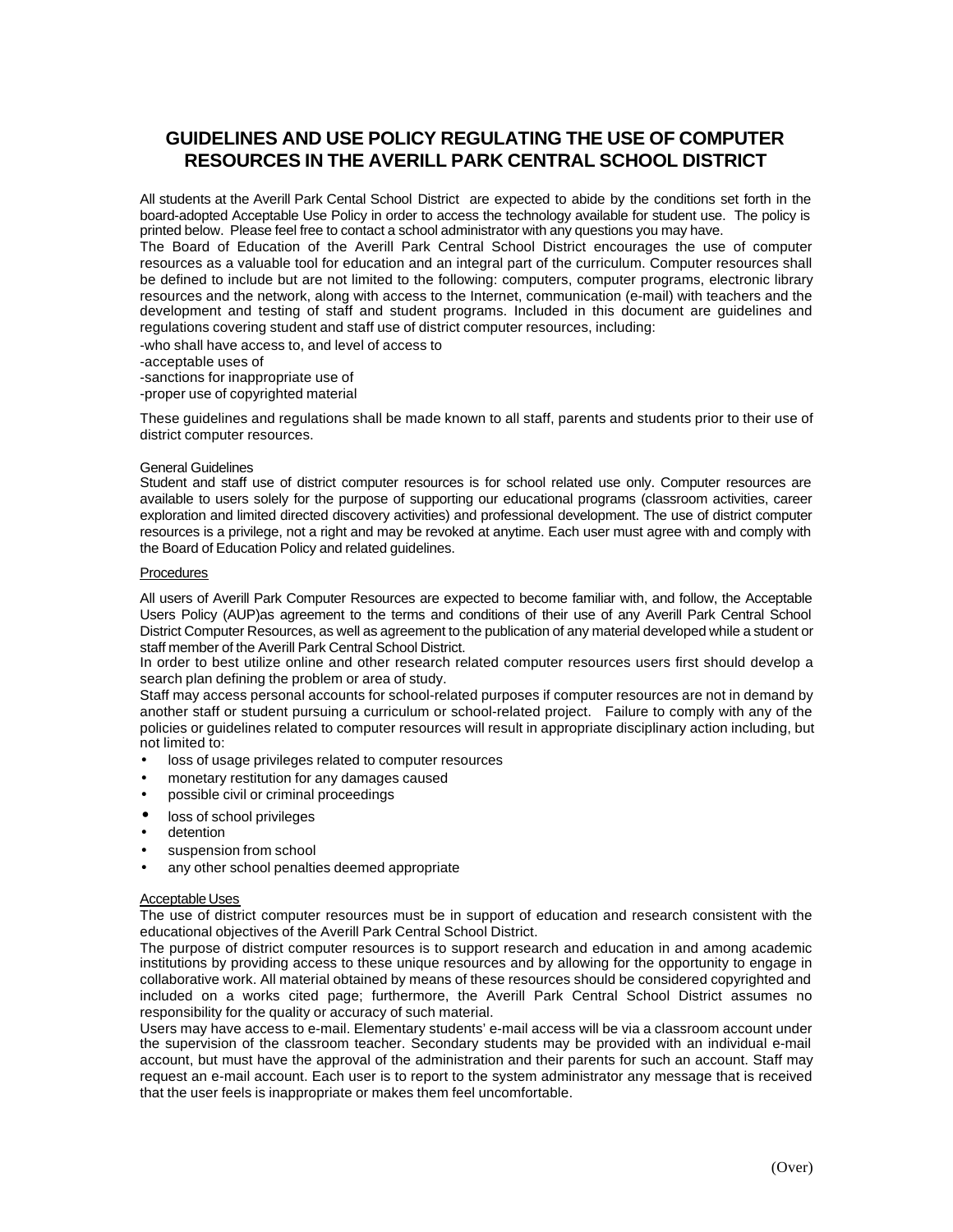# **GUIDELINES AND USE POLICY REGULATING THE USE OF COMPUTER RESOURCES IN THE AVERILL PARK CENTRAL SCHOOL DISTRICT**

All students at the Averill Park Cental School District are expected to abide by the conditions set forth in the board-adopted Acceptable Use Policy in order to access the technology available for student use. The policy is printed below. Please feel free to contact a school administrator with any questions you may have.

The Board of Education of the Averill Park Central School District encourages the use of computer resources as a valuable tool for education and an integral part of the curriculum. Computer resources shall be defined to include but are not limited to the following: computers, computer programs, electronic library resources and the network, along with access to the Internet, communication (e-mail) with teachers and the development and testing of staff and student programs. Included in this document are guidelines and regulations covering student and staff use of district computer resources, including:

-who shall have access to, and level of access to

- -acceptable uses of
- -sanctions for inappropriate use of
- -proper use of copyrighted material

These guidelines and regulations shall be made known to all staff, parents and students prior to their use of district computer resources.

#### General Guidelines

Student and staff use of district computer resources is for school related use only. Computer resources are available to users solely for the purpose of supporting our educational programs (classroom activities, career exploration and limited directed discovery activities) and professional development. The use of district computer resources is a privilege, not a right and may be revoked at anytime. Each user must agree with and comply with the Board of Education Policy and related guidelines.

### **Procedures**

All users of Averill Park Computer Resources are expected to become familiar with, and follow, the Acceptable Users Policy (AUP)as agreement to the terms and conditions of their use of any Averill Park Central School District Computer Resources, as well as agreement to the publication of any material developed while a student or staff member of the Averill Park Central School District.

In order to best utilize online and other research related computer resources users first should develop a search plan defining the problem or area of study.

Staff may access personal accounts for school-related purposes if computer resources are not in demand by another staff or student pursuing a curriculum or school-related project. Failure to comply with any of the policies or guidelines related to computer resources will result in appropriate disciplinary action including, but not limited to:

- loss of usage privileges related to computer resources
- monetary restitution for any damages caused
- possible civil or criminal proceedings
- loss of school privileges
- detention
- suspension from school
- any other school penalties deemed appropriate

#### Acceptable Uses

The use of district computer resources must be in support of education and research consistent with the educational objectives of the Averill Park Central School District.

The purpose of district computer resources is to support research and education in and among academic institutions by providing access to these unique resources and by allowing for the opportunity to engage in collaborative work. All material obtained by means of these resources should be considered copyrighted and included on a works cited page; furthermore, the Averill Park Central School District assumes no responsibility for the quality or accuracy of such material.

Users may have access to e-mail. Elementary students' e-mail access will be via a classroom account under the supervision of the classroom teacher. Secondary students may be provided with an individual e-mail account, but must have the approval of the administration and their parents for such an account. Staff may request an e-mail account. Each user is to report to the system administrator any message that is received that the user feels is inappropriate or makes them feel uncomfortable.